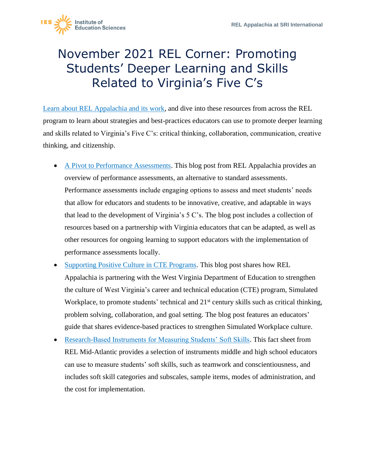

## November 2021 REL Corner: Promoting Students' Deeper Learning and Skills Related to Virginia's Five C's

[Learn about REL Appalachia and its work,](https://ies.ed.gov/ncee/edlabs/regions/appalachia/) and dive into these resources from across the REL program to learn about strategies and best-practices educators can use to promote deeper learning and skills related to Virginia's Five C's: critical thinking, collaboration, communication, creative thinking, and citizenship.

- that allow for educators and students to be innovative, creative, and adaptable in ways • [A Pivot to Performance Assessments.](https://ies.ed.gov/ncee/edlabs/regions/appalachia/blogs/blog36_pivot-to-performance-assessments.asp) This blog post from REL Appalachia provides an overview of performance assessments, an alternative to standard assessments. Performance assessments include engaging options to assess and meet students' needs that lead to the development of Virginia's 5 C's. The blog post includes a collection of resources based on a partnership with Virginia educators that can be adapted, as well as other resources for ongoing learning to support educators with the implementation of performance assessments locally.
- [Supporting Positive Culture in CTE Programs.](https://ies.ed.gov/ncee/edlabs/regions/appalachia/blogs/blog19-supporting-positive-culture-in-CTE-programs.asp) This blog post shares how REL Appalachia is partnering with the West Virginia Department of Education to strengthen the culture of West Virginia's career and technical education (CTE) program, Simulated Workplace, to promote students' technical and 21<sup>st</sup> century skills such as critical thinking, problem solving, collaboration, and goal setting. The blog post features an educators' guide that shares evidence-based practices to strengthen Simulated Workplace culture.
- [Research-Based Instruments for Measuring Students' Soft Skills.](https://ies.ed.gov/ncee/edlabs/regions/midatlantic/app/pdf/RELMA_Soft_Skills_FactSheet_020719.pdf) This fact sheet from REL Mid-Atlantic provides a selection of instruments middle and high school educators can use to measure students' soft skills, such as teamwork and conscientiousness, and includes soft skill categories and subscales, sample items, modes of administration, and the cost for implementation.